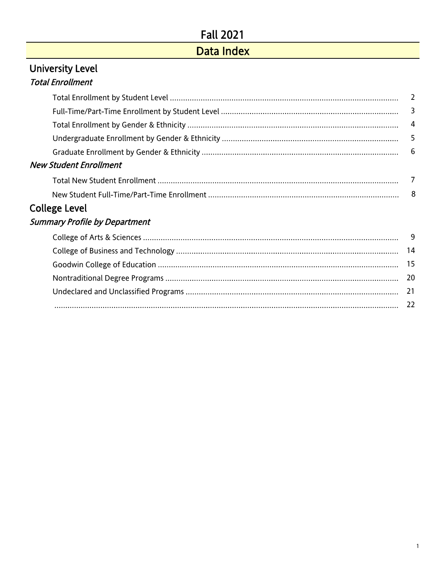## Data Index

#### <span id="page-0-0"></span>University Level Total Enrollment

|                                      | $\overline{4}$ |
|--------------------------------------|----------------|
|                                      |                |
|                                      |                |
| <b>New Student Enrollment</b>        |                |
|                                      | 7              |
|                                      |                |
| <b>College Level</b>                 |                |
| <b>Summary Profile by Department</b> |                |

[22](#page-21-0)

# [College of Arts & Sciences](#page-8-0) 9 [College of Business and Technology](#page-13-0) 14 [Goodwin College of Education](#page-14-0) 15 [Nontraditional Degree Programs](#page-19-0) 20 [Undeclared and Unclassified Programs](#page-20-0) 21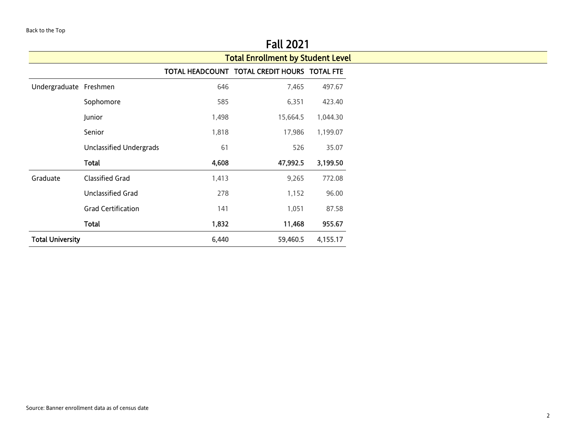<span id="page-1-0"></span>

|                         |                                |       | rall 2021                                    |                                                                                 |
|-------------------------|--------------------------------|-------|----------------------------------------------|---------------------------------------------------------------------------------|
|                         |                                |       | <b>Total Enrollment by Student Level</b>     |                                                                                 |
|                         |                                |       | TOTAL HEADCOUNT TOTAL CREDIT HOURS TOTAL FTE |                                                                                 |
| Undergraduate Freshmen  |                                | 646   | 7,465                                        | 497.67                                                                          |
|                         | Sophomore                      | 585   | 6,351                                        | 423.40                                                                          |
|                         | Junior                         | 1,498 | 15,664.5                                     | 1,044.30                                                                        |
|                         | Senior                         | 1,818 | 17,986                                       | 1,199.07<br>35.07<br>3,199.50<br>772.08<br>96.00<br>87.58<br>955.67<br>4,155.17 |
|                         | <b>Unclassified Undergrads</b> | 61    | 526                                          |                                                                                 |
|                         | Total                          | 4,608 | 47,992.5                                     |                                                                                 |
| Graduate                | <b>Classified Grad</b>         | 1,413 | 9,265                                        |                                                                                 |
|                         | <b>Unclassified Grad</b>       | 278   | 1,152                                        |                                                                                 |
|                         | <b>Grad Certification</b>      | 141   | 1,051                                        |                                                                                 |
|                         | Total                          | 1,832 | 11,468                                       |                                                                                 |
| <b>Total University</b> |                                | 6,440 | 59,460.5                                     |                                                                                 |

<u> 1989 - Johann Barn, mars ann an t-Amhain ann an t-Amhain an t-Amhain an t-Amhain an t-Amhain an t-Amhain an t-</u>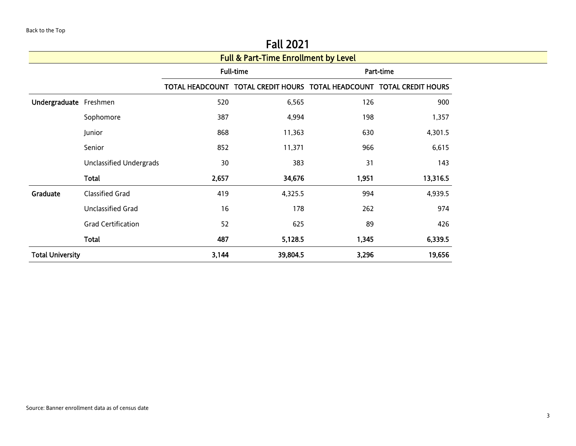<span id="page-2-0"></span>

|                         |                                                 |       | 1 GU LVL 1                                                            |       |           |  |  |  |  |  |  |  |
|-------------------------|-------------------------------------------------|-------|-----------------------------------------------------------------------|-------|-----------|--|--|--|--|--|--|--|
|                         | <b>Full &amp; Part-Time Enrollment by Level</b> |       |                                                                       |       |           |  |  |  |  |  |  |  |
|                         |                                                 |       | <b>Full-time</b>                                                      |       | Part-time |  |  |  |  |  |  |  |
|                         |                                                 |       | TOTAL HEADCOUNT TOTAL CREDIT HOURS TOTAL HEADCOUNT TOTAL CREDIT HOURS |       |           |  |  |  |  |  |  |  |
| Undergraduate Freshmen  |                                                 | 520   | 6,565                                                                 | 126   | 900       |  |  |  |  |  |  |  |
|                         | Sophomore                                       | 387   | 4,994                                                                 | 198   | 1,357     |  |  |  |  |  |  |  |
|                         | Junior                                          | 868   | 11,363                                                                | 630   | 4,301.5   |  |  |  |  |  |  |  |
|                         | Senior                                          | 852   | 11,371                                                                | 966   | 6,615     |  |  |  |  |  |  |  |
|                         | <b>Unclassified Undergrads</b>                  | 30    | 383                                                                   | 31    | 143       |  |  |  |  |  |  |  |
|                         | Total                                           | 2,657 | 34,676                                                                | 1,951 | 13,316.5  |  |  |  |  |  |  |  |
| Graduate                | <b>Classified Grad</b>                          | 419   | 4,325.5                                                               | 994   | 4,939.5   |  |  |  |  |  |  |  |
|                         | Unclassified Grad                               | 16    | 178                                                                   | 262   | 974       |  |  |  |  |  |  |  |
|                         | <b>Grad Certification</b>                       | 52    | 625                                                                   | 89    | 426       |  |  |  |  |  |  |  |
|                         | Total                                           | 487   | 5,128.5                                                               | 1,345 | 6,339.5   |  |  |  |  |  |  |  |
| <b>Total University</b> |                                                 | 3,144 | 39,804.5                                                              | 3,296 | 19,656    |  |  |  |  |  |  |  |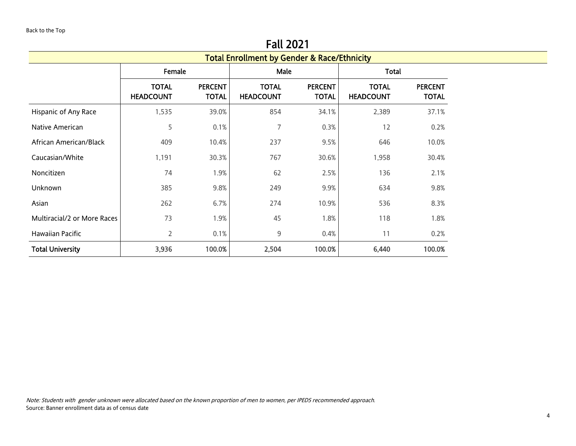<span id="page-3-0"></span>

|                             |                                                        |                                | <b>Fall 2021</b>                 |                                |                                  |                                |  |  |  |  |  |
|-----------------------------|--------------------------------------------------------|--------------------------------|----------------------------------|--------------------------------|----------------------------------|--------------------------------|--|--|--|--|--|
|                             | <b>Total Enrollment by Gender &amp; Race/Ethnicity</b> |                                |                                  |                                |                                  |                                |  |  |  |  |  |
|                             | Female                                                 |                                | Male                             |                                | <b>Total</b>                     |                                |  |  |  |  |  |
|                             | <b>TOTAL</b><br><b>HEADCOUNT</b>                       | <b>PERCENT</b><br><b>TOTAL</b> | <b>TOTAL</b><br><b>HEADCOUNT</b> | <b>PERCENT</b><br><b>TOTAL</b> | <b>TOTAL</b><br><b>HEADCOUNT</b> | <b>PERCENT</b><br><b>TOTAL</b> |  |  |  |  |  |
| Hispanic of Any Race        | 1,535                                                  | 39.0%                          | 854                              | 34.1%                          | 2,389                            | 37.1%                          |  |  |  |  |  |
| Native American             | 5                                                      | 0.1%                           | 7                                | 0.3%                           | 12                               | 0.2%                           |  |  |  |  |  |
| African American/Black      | 409                                                    | 10.4%                          | 237                              | 9.5%                           | 646                              | 10.0%                          |  |  |  |  |  |
| Caucasian/White             | 1,191                                                  | 30.3%                          | 767                              | 30.6%                          | 1,958                            | 30.4%                          |  |  |  |  |  |
| Noncitizen                  | 74                                                     | 1.9%                           | 62                               | 2.5%                           | 136                              | 2.1%                           |  |  |  |  |  |
| Unknown                     | 385                                                    | 9.8%                           | 249                              | 9.9%                           | 634                              | 9.8%                           |  |  |  |  |  |
| Asian                       | 262                                                    | 6.7%                           | 274                              | 10.9%                          | 536                              | 8.3%                           |  |  |  |  |  |
| Multiracial/2 or More Races | 73                                                     | 1.9%                           | 45                               | 1.8%                           | 118                              | 1.8%                           |  |  |  |  |  |
| Hawaiian Pacific            | $\overline{2}$                                         | 0.1%                           | 9                                | 0.4%                           | 11                               | 0.2%                           |  |  |  |  |  |
| <b>Total University</b>     | 3,936                                                  | 100.0%                         | 2,504                            | 100.0%                         | 6,440                            | 100.0%                         |  |  |  |  |  |

Note: Students with gender unknown were allocated based on the known proportion of men to women, per IPEDS recommended approach. Source: Banner enrollment data as of census date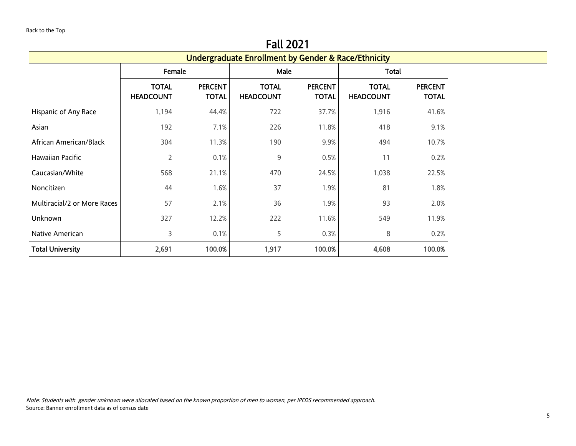<span id="page-4-0"></span>

|                             |                                  |                                |                                  | <b>Undergraduate Enrollment by Gender &amp; Race/Ethnicity</b> |                                  |                                |  |  |  |  |
|-----------------------------|----------------------------------|--------------------------------|----------------------------------|----------------------------------------------------------------|----------------------------------|--------------------------------|--|--|--|--|
|                             | Female                           |                                | Male                             |                                                                | Total                            |                                |  |  |  |  |
|                             | <b>TOTAL</b><br><b>HEADCOUNT</b> | <b>PERCENT</b><br><b>TOTAL</b> | <b>TOTAL</b><br><b>HEADCOUNT</b> | <b>PERCENT</b><br><b>TOTAL</b>                                 | <b>TOTAL</b><br><b>HEADCOUNT</b> | <b>PERCENT</b><br><b>TOTAL</b> |  |  |  |  |
| Hispanic of Any Race        | 1,194                            | 44.4%                          | 722                              | 37.7%                                                          | 1,916                            | 41.6%                          |  |  |  |  |
| Asian                       | 192                              | 7.1%                           | 226                              | 11.8%                                                          | 418                              | 9.1%                           |  |  |  |  |
| African American/Black      | 304                              | 11.3%                          | 190                              | 9.9%                                                           | 494                              | 10.7%                          |  |  |  |  |
| Hawaiian Pacific            | 2                                | 0.1%                           | 9                                | 0.5%                                                           | 11                               | 0.2%                           |  |  |  |  |
| Caucasian/White             | 568                              | 21.1%                          | 470                              | 24.5%                                                          | 1,038                            | 22.5%                          |  |  |  |  |
| Noncitizen                  | 44                               | 1.6%                           | 37                               | 1.9%                                                           | 81                               | 1.8%                           |  |  |  |  |
| Multiracial/2 or More Races | 57                               | 2.1%                           | 36                               | 1.9%                                                           | 93                               | 2.0%                           |  |  |  |  |
| Unknown                     | 327                              | 12.2%                          | 222                              | 11.6%                                                          | 549                              | 11.9%                          |  |  |  |  |
| Native American             | 3                                | 0.1%                           | 5                                | 0.3%                                                           | 8                                | 0.2%                           |  |  |  |  |
| <b>Total University</b>     | 2,691                            | 100.0%                         | 1,917                            | 100.0%                                                         | 4,608                            | 100.0%                         |  |  |  |  |

Note: Students with gender unknown were allocated based on the known proportion of men to women, per IPEDS recommended approach. Source: Banner enrollment data as of census date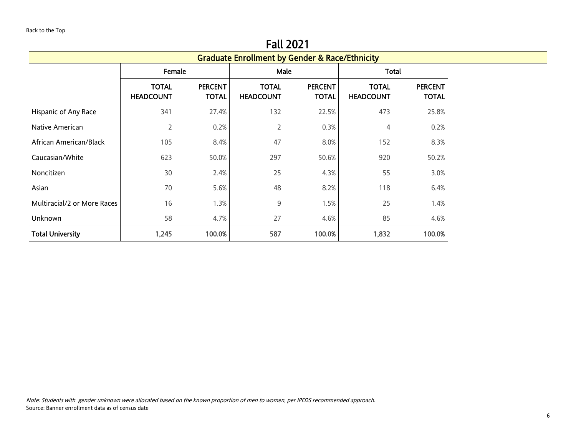<span id="page-5-0"></span>

|                             |                                                           |                                | <b>Fall 2021</b>                 |                                |                                  |                                |  |  |  |  |  |
|-----------------------------|-----------------------------------------------------------|--------------------------------|----------------------------------|--------------------------------|----------------------------------|--------------------------------|--|--|--|--|--|
|                             | <b>Graduate Enrollment by Gender &amp; Race/Ethnicity</b> |                                |                                  |                                |                                  |                                |  |  |  |  |  |
|                             | Female                                                    |                                | Male                             |                                | Total                            |                                |  |  |  |  |  |
|                             | <b>TOTAL</b><br><b>HEADCOUNT</b>                          | <b>PERCENT</b><br><b>TOTAL</b> | <b>TOTAL</b><br><b>HEADCOUNT</b> | <b>PERCENT</b><br><b>TOTAL</b> | <b>TOTAL</b><br><b>HEADCOUNT</b> | <b>PERCENT</b><br><b>TOTAL</b> |  |  |  |  |  |
| Hispanic of Any Race        | 341                                                       | 27.4%                          | 132                              | 22.5%                          | 473                              | 25.8%                          |  |  |  |  |  |
| Native American             | 2                                                         | 0.2%                           | $\overline{2}$                   | 0.3%                           | 4                                | 0.2%                           |  |  |  |  |  |
| African American/Black      | 105                                                       | 8.4%                           | 47                               | 8.0%                           | 152                              | 8.3%                           |  |  |  |  |  |
| Caucasian/White             | 623                                                       | 50.0%                          | 297                              | 50.6%                          | 920                              | 50.2%                          |  |  |  |  |  |
| Noncitizen                  | 30                                                        | 2.4%                           | 25                               | 4.3%                           | 55                               | 3.0%                           |  |  |  |  |  |
| Asian                       | 70                                                        | 5.6%                           | 48                               | 8.2%                           | 118                              | 6.4%                           |  |  |  |  |  |
| Multiracial/2 or More Races | 16                                                        | 1.3%                           | $\mathsf 9$                      | 1.5%                           | 25                               | 1.4%                           |  |  |  |  |  |
| Unknown                     | 58                                                        | 4.7%                           | 27                               | 4.6%                           | 85                               | 4.6%                           |  |  |  |  |  |
| <b>Total University</b>     | 1,245                                                     | 100.0%                         | 587                              | 100.0%                         | 1,832                            | 100.0%                         |  |  |  |  |  |

 $F \cup 2024$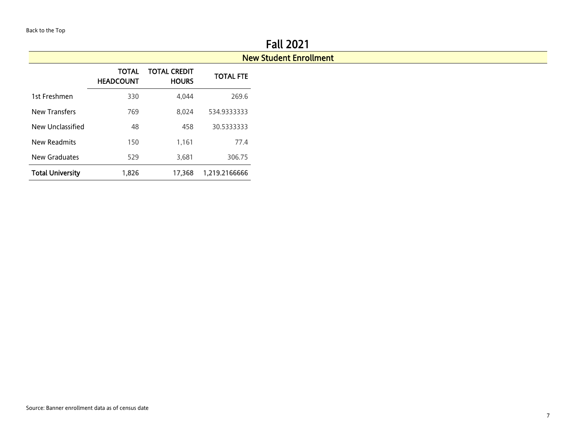#### New Student Enrollment

<span id="page-6-0"></span>

|                         | <b>TOTAL</b><br><b>HEADCOUNT</b> | TOTAL CREDIT<br><b>HOURS</b> | <b>TOTAL FTE</b> |
|-------------------------|----------------------------------|------------------------------|------------------|
| 1st Freshmen            | 330                              | 4.044                        | 269.6            |
| <b>New Transfers</b>    | 769                              | 8.024                        | 534.9333333      |
| New Unclassified        | 48                               | 458                          | 30.5333333       |
| New Readmits            | 150                              | 1.161                        | 77.4             |
| New Graduates           | 529                              | 3.681                        | 306.75           |
| <b>Total University</b> | 1,826                            | 17,368                       | 1,219.2166666    |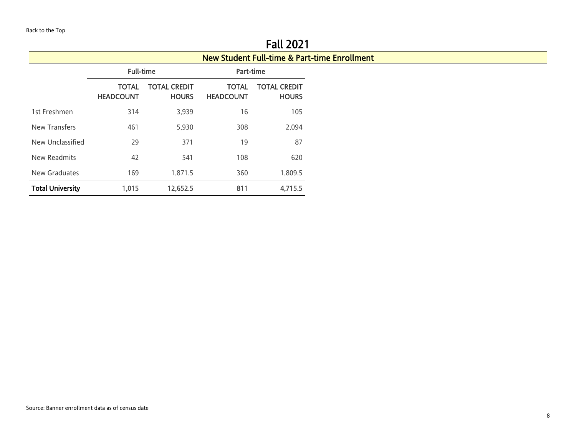$\overline{\phantom{a}}$ 

<span id="page-7-0"></span>

|                         |                                                                                       |                                     |                                  | <b>FAIL ZUZ I</b>                                       |
|-------------------------|---------------------------------------------------------------------------------------|-------------------------------------|----------------------------------|---------------------------------------------------------|
|                         |                                                                                       |                                     |                                  | <b>New Student Full-time &amp; Part-time Enrollment</b> |
|                         | <b>Full-time</b><br><b>TOTAL</b><br><b>HEADCOUNT</b><br>314<br>461<br>29<br>42<br>169 |                                     | Part-time                        |                                                         |
|                         |                                                                                       | <b>TOTAL CREDIT</b><br><b>HOURS</b> | <b>TOTAL</b><br><b>HEADCOUNT</b> | <b>TOTAL CREDIT</b><br><b>HOURS</b>                     |
| 1st Freshmen            |                                                                                       | 3,939                               | 16                               | 105                                                     |
| <b>New Transfers</b>    |                                                                                       | 5,930                               | 308                              | 2,094                                                   |
| New Unclassified        |                                                                                       | 371                                 | 19                               | 87                                                      |
| New Readmits            |                                                                                       | 541                                 | 108                              | 620                                                     |
| New Graduates           |                                                                                       | 1,871.5                             | 360                              | 1,809.5                                                 |
| <b>Total University</b> | 1,015                                                                                 | 12,652.5                            | 811                              | 4,715.5                                                 |

Fall 2021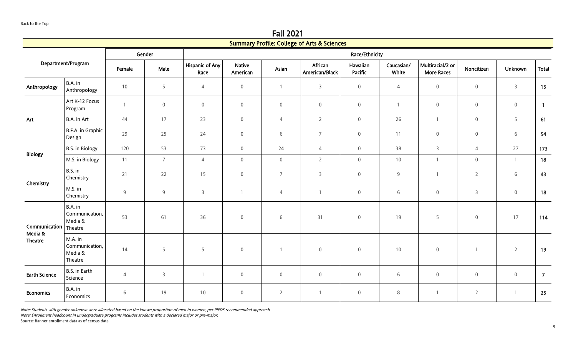Fall 2021

<span id="page-8-0"></span>

|                           |                                                 |                |                |                                |                           |                     | <b>Summary Profile: College of Arts &amp; Sciences</b> |                     |                     |                                       |                     |                |                |
|---------------------------|-------------------------------------------------|----------------|----------------|--------------------------------|---------------------------|---------------------|--------------------------------------------------------|---------------------|---------------------|---------------------------------------|---------------------|----------------|----------------|
|                           |                                                 |                | Gender         | Race/Ethnicity                 |                           |                     |                                                        |                     |                     |                                       |                     |                |                |
|                           | Department/Program                              | Female         | Male           | <b>Hispanic of Any</b><br>Race | <b>Native</b><br>American | Asian               | African<br>American/Black                              | Hawaiian<br>Pacific | Caucasian/<br>White | Multiracial/2 or<br><b>More Races</b> | Noncitizen          | <b>Unknown</b> | Total          |
| Anthropology              | B.A. in<br>Anthropology                         | 10             | 5              | $\overline{4}$                 | $\mathbf 0$               | $\overline{1}$      | $\overline{3}$                                         | $\mathbf 0$         | $\overline{4}$      | $\overline{0}$                        | $\mathsf{O}\xspace$ | $\overline{3}$ | 15             |
|                           | Art K-12 Focus<br>Program                       | $\mathbf{1}$   | $\mathbf 0$    | $\mathsf{O}\xspace$            | $\mathsf{O}\xspace$       | $\mathsf{O}\xspace$ | $\mathbf 0$                                            | $\mathsf{O}\xspace$ | $\mathbf{1}$        | $\mathbf 0$                           | $\mathsf{O}\xspace$ | $\mathbf 0$    | $\overline{1}$ |
| Art                       | B.A. in Art                                     | 44             | 17             | 23                             | $\overline{0}$            | $\overline{4}$      | $2^{\circ}$                                            | $\boldsymbol{0}$    | 26                  | $\overline{1}$                        | $\overline{0}$      | 5 <sup>1</sup> | 61             |
|                           | B.F.A. in Graphic<br>Design                     | 29             | 25             | 24                             | $\boldsymbol{0}$          | 6                   | $\overline{7}$                                         | $\boldsymbol{0}$    | 11                  | $\overline{0}$                        | $\mathbf 0$         | 6              | 54             |
|                           | B.S. in Biology                                 | 120            | 53             | 73                             | $\overline{0}$            | 24                  | $\overline{4}$                                         | $\mathsf{O}\xspace$ | 38                  | $\overline{3}$                        | $\overline{4}$      | 27             | 173            |
| <b>Biology</b>            | M.S. in Biology                                 | 11             | $\overline{7}$ | $\overline{4}$                 | $\mathsf{O}\xspace$       | $\mathsf{O}\xspace$ | $\overline{2}$                                         | $\mathsf{O}\xspace$ | 10                  | $\overline{1}$                        | $\mathsf{O}\xspace$ | $\overline{1}$ | 18             |
|                           | B.S. in<br>Chemistry                            | 21             | 22             | 15                             | $\boldsymbol{0}$          | $\overline{7}$      | $\overline{3}$                                         | $\mathsf{O}\xspace$ | $9$                 | $\overline{1}$                        | $\overline{2}$      | 6              | 43             |
| Chemistry                 | M.S. in<br>Chemistry                            | $9\,$          | 9              | $\overline{3}$                 | $\overline{1}$            | 4                   | $\mathbf{1}$                                           | $\mathsf{O}\xspace$ | $6\,$               | $\,0\,$                               | $\mathsf{3}$        | $\mathbf 0$    | 18             |
| Communication             | B.A. in<br>Communication,<br>Media &<br>Theatre | 53             | 61             | 36                             | $\mathbf 0$               | 6                   | 31                                                     | $\mathsf{O}\xspace$ | 19                  | 5                                     | $\mathbf 0$         | 17             | 114            |
| Media &<br><b>Theatre</b> | M.A. in<br>Communication,<br>Media &<br>Theatre | 14             | 5              | 5                              | $\mathsf 0$               |                     | $\mathbf 0$                                            | $\mathsf{O}\xspace$ | 10                  | $\mathbf 0$                           | $\mathbf{1}$        | $\overline{2}$ | 19             |
| <b>Earth Science</b>      | B.S. in Earth<br>Science                        | $\overline{4}$ | $\overline{3}$ | $\overline{1}$                 | $\mathsf{O}\xspace$       | $\mathsf{O}\xspace$ | $\mathsf{O}\xspace$                                    | $\mathsf{O}\xspace$ | 6                   | $\mathbb O$                           | $\mathsf{O}\xspace$ | $\mathbf 0$    | $\overline{7}$ |
| <b>Economics</b>          | B.A. in<br>Economics                            | 6              | 19             | 10                             | $\mathbf 0$               | $\overline{2}$      | $\overline{1}$                                         | $\mathbf 0$         | 8                   | $\overline{1}$                        | $\overline{2}$      | $\overline{1}$ | 25             |

Note: Enrollment headcount in undergraduate programs includes students with a declared major or pre-major.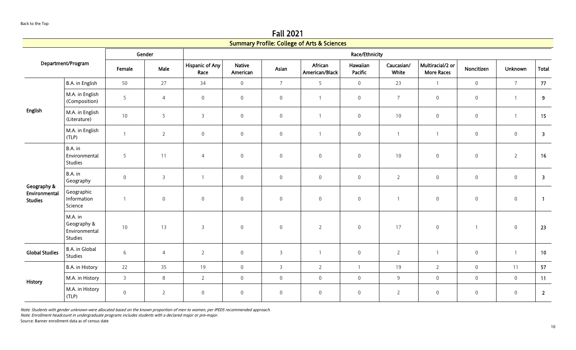Fall 2021 Summary Profile: College of Arts & Sciences

|                                                |                                                    |                  |                |                                |                           |                       | Summary Profile: College of Arts & Sciences |                            |                     |                                       |                     |                     |                         |
|------------------------------------------------|----------------------------------------------------|------------------|----------------|--------------------------------|---------------------------|-----------------------|---------------------------------------------|----------------------------|---------------------|---------------------------------------|---------------------|---------------------|-------------------------|
|                                                |                                                    |                  | Gender         |                                |                           | <b>Race/Ethnicity</b> |                                             |                            |                     |                                       |                     |                     |                         |
| Department/Program                             |                                                    | Female           | Male           | <b>Hispanic of Any</b><br>Race | <b>Native</b><br>American | Asian                 | African<br>American/Black                   | Hawaiian<br><b>Pacific</b> | Caucasian/<br>White | Multiracial/2 or<br><b>More Races</b> | Noncitizen          | <b>Unknown</b>      | <b>Total</b>            |
|                                                | B.A. in English                                    | 50               | 27             | 34                             | $\mathsf{O}\xspace$       | $\overline{7}$        | 5                                           | $\mathbf 0$                | 23                  | $\mathbf{1}$                          | $\mathbf 0$         | $\overline{7}$      | 77                      |
|                                                | M.A. in English<br>(Composition)                   | 5                | $\overline{4}$ | $\mathsf{O}\xspace$            | $\boldsymbol{0}$          | $\mathsf{O}\xspace$   | $\mathbf{1}$                                | $\mathsf{O}\xspace$        | $\overline{7}$      | $\,0\,$                               | $\boldsymbol{0}$    | $\overline{1}$      | $\overline{9}$          |
| <b>English</b>                                 | M.A. in English<br>(Literature)                    | 10               | 5              | $\mathbf{3}$                   | $\mathbf 0$               | $\overline{0}$        | $\mathbf{1}$                                | $\mathbf 0$                | 10                  | $\boldsymbol{0}$                      | $\mathsf{O}\xspace$ | $\overline{1}$      | 15                      |
|                                                | M.A. in English<br>(TLP)                           | $\mathbf{1}$     | $\overline{2}$ | $\mathsf{O}\xspace$            | $\boldsymbol{0}$          | $\mathsf{O}\xspace$   | $\mathbf{1}$                                | $\mathbf 0$                | $\mathbf{1}$        | $\mathbf{1}$                          | $\mathbf 0$         | $\mathbf 0$         | $\overline{\mathbf{3}}$ |
|                                                | B.A. in<br>Environmental<br>Studies                | 5                | 11             | $\overline{4}$                 | $\boldsymbol{0}$          | $\boldsymbol{0}$      | $\boldsymbol{0}$                            | $\mathbf 0$                | 10                  | $\boldsymbol{0}$                      | $\mathsf{O}\xspace$ | $\overline{2}$      | 16                      |
|                                                | B.A. in<br>Geography                               | $\boldsymbol{0}$ | $\overline{3}$ | $\mathbf{1}$                   | $\boldsymbol{0}$          | $\overline{0}$        | $\mathsf{O}\xspace$                         | $\mathbf 0$                | $\overline{2}$      | $\boldsymbol{0}$                      | $\boldsymbol{0}$    | $\mathbf 0$         | $\overline{\mathbf{3}}$ |
| Geography &<br>Environmental<br><b>Studies</b> | Geographic<br>Information<br>Science               | $\overline{1}$   | $\mathbf 0$    | $\mathsf{O}\xspace$            | $\mathbf 0$               | $\mathsf{O}\xspace$   | $\mathsf{O}\xspace$                         | $\mathsf{O}\xspace$        | $\overline{1}$      | $\,0\,$                               | $\mathsf{O}\xspace$ | $\mathsf{O}\xspace$ | $\overline{1}$          |
|                                                | M.A. in<br>Geography &<br>Environmental<br>Studies | 10               | 13             | $\mathbf{3}$                   | $\boldsymbol{0}$          | $\mathsf 0$           | $\overline{2}$                              | $\mathbf 0$                | 17                  | $\boldsymbol{0}$                      | $\overline{1}$      | $\overline{0}$      | 23                      |
| <b>Global Studies</b>                          | B.A. in Global<br>Studies                          | 6                | $\overline{4}$ | $\overline{2}$                 | $\boldsymbol{0}$          | $\overline{3}$        |                                             | $\overline{0}$             | $\overline{2}$      | $\overline{1}$                        | $\boldsymbol{0}$    | $\overline{1}$      | 10                      |
|                                                | B.A. in History                                    | 22               | 35             | 19                             | $\overline{0}$            | $\mathsf{3}$          | $\overline{2}$                              | $\mathbf{1}$               | 19                  | $\overline{2}$                        | $\mathbf 0$         | 11                  | 57                      |
|                                                | M.A. in History                                    | $\overline{3}$   | $\,8\,$        | $\overline{2}$                 | $\mathsf{O}\xspace$       | $\mathsf{O}\xspace$   | $\mathsf{O}\xspace$                         | $\mathsf{O}\xspace$        | $9\,$               | $\mathbf 0$                           | $\mathbf 0$         | $\mathsf{O}\xspace$ | 11                      |
| History                                        | M.A. in History<br>(TLP)                           | $\mathsf 0$      | $\overline{2}$ | $\mathbf 0$                    | $\mathbf 0$               | $\mathsf 0$           | $\mathsf{O}\xspace$                         | $\mathbf 0$                | $\overline{2}$      | $\boldsymbol{0}$                      | $\mathbb O$         | $\mathbf 0$         | $\overline{2}$          |

Note: Enrollment headcount in undergraduate programs includes students with a declared major or pre-major.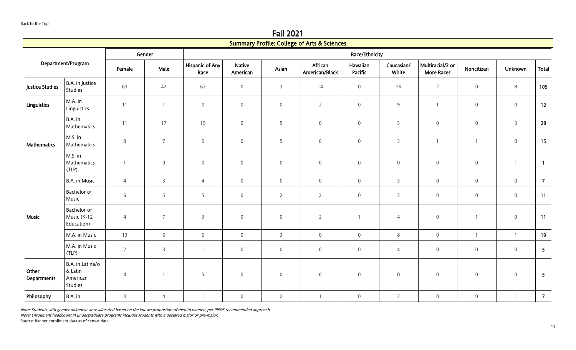Fall 2021 Summary Profile: College of Arts & Scie

|                             |                                                    |                |                |                                |                           |                     | Summary Profile: College of Arts & Sciences |                     |                     |                                       |                     |                     |                |  |
|-----------------------------|----------------------------------------------------|----------------|----------------|--------------------------------|---------------------------|---------------------|---------------------------------------------|---------------------|---------------------|---------------------------------------|---------------------|---------------------|----------------|--|
|                             |                                                    |                | Gender         |                                | <b>Race/Ethnicity</b>     |                     |                                             |                     |                     |                                       |                     |                     |                |  |
|                             | Department/Program                                 | Female         | Male           | <b>Hispanic of Any</b><br>Race | <b>Native</b><br>American | Asian               | African<br>American/Black                   | Hawaiian<br>Pacific | Caucasian/<br>White | Multiracial/2 or<br><b>More Races</b> | Noncitizen          | <b>Unknown</b>      | <b>Total</b>   |  |
| <b>Justice Studies</b>      | B.A. in Justice<br>Studies                         | 63             | 42             | 62                             | $\mathsf{O}\xspace$       | $\overline{3}$      | 14                                          | $\mathsf{O}\xspace$ | 16                  | $\overline{2}$                        | $\boldsymbol{0}$    | $\,8\,$             | 105            |  |
| <b>Linguistics</b>          | M.A. in<br>Linguistics                             | 11             | $\overline{1}$ | $\mathsf{O}\xspace$            | $\boldsymbol{0}$          | $\mathsf{O}\xspace$ | $\overline{2}$                              | $\mathsf{O}\xspace$ | $9\,$               | $\mathbf{1}$                          | $\mathsf{O}\xspace$ | $\mathsf{O}\xspace$ | 12             |  |
|                             | B.A. in<br>Mathematics                             | 11             | 17             | 15                             | $\,0\,$                   | 5                   | $\mathsf{O}\xspace$                         | $\mathsf{O}\xspace$ | 5                   | $\mathbf 0$                           | $\boldsymbol{0}$    | $\overline{3}$      | 28             |  |
| <b>Mathematics</b>          | M.S. in<br>Mathematics                             | $\,8\,$        | $\overline{7}$ | 5                              | $\mathbf 0$               | 5                   | $\mathbf 0$                                 | $\mathsf{O}\xspace$ | $\mathsf{3}$        | $\overline{1}$                        | $\mathbf{1}$        | $\mathbf 0$         | 15             |  |
|                             | M.S. in<br>Mathematics<br>(TLP)                    | $\overline{1}$ | $\mathbf 0$    | $\mathsf{O}\xspace$            | $\mathsf{O}\xspace$       | $\mathsf{O}\xspace$ | $\mathbf 0$                                 | $\mathsf{O}\xspace$ | $\mathsf{O}\xspace$ | $\mathbf 0$                           | $\boldsymbol{0}$    | $\overline{1}$      | $\overline{1}$ |  |
|                             | B.A. in Music                                      | $\overline{4}$ | $\overline{3}$ | $\overline{4}$                 | $\mathsf{O}\xspace$       | $\mathsf{O}\xspace$ | $\mathsf{O}\xspace$                         | $\mathsf{O}\xspace$ | $\overline{3}$      | $\mathbf 0$                           | $\mathsf{O}\xspace$ | $\mathbf 0$         | $\overline{7}$ |  |
|                             | Bachelor of<br>Music                               | $6\phantom{.}$ | 5              | 5                              | $\mathsf{O}\xspace$       | $\overline{2}$      | $\overline{2}$                              | $\mathbf 0$         | $\overline{2}$      | $\mathsf{O}\xspace$                   | $\overline{0}$      | $\mathsf 0$         | 11             |  |
| <b>Music</b>                | Bachelor of<br>Music (K-12<br>Education)           | $\overline{4}$ | $\overline{7}$ | $\overline{3}$                 | $\mathbf 0$               | $\mathbf 0$         | $\overline{2}$                              | $\mathbf{1}$        | $\overline{4}$      | $\mathsf{O}\xspace$                   | $\mathbf{1}$        | $\mathbb O$         | 11             |  |
|                             | M.A. in Music                                      | 13             | 6              | 6                              | $\mathsf{O}\xspace$       | $\overline{3}$      | $\overline{0}$                              | $\mathbf 0$         | 8                   | $\mathsf{O}\xspace$                   | $\mathbf{1}$        | $\mathbf{1}$        | 19             |  |
|                             | M.A. in Music<br>(TLP)                             | $\overline{2}$ | $\mathsf{3}$   | $\mathbf{1}$                   | $\boldsymbol{0}$          | $\overline{0}$      | $\overline{0}$                              | $\mathbf 0$         | $\overline{4}$      | $\boldsymbol{0}$                      | $\boldsymbol{0}$    | $\mathbb O$         | 5              |  |
| Other<br><b>Departments</b> | B.A. in Latina/o<br>& Latin<br>American<br>Studies | $\overline{4}$ |                | 5                              | $\mathbf 0$               | $\mathsf{O}\xspace$ | $\mathbf 0$                                 | $\mathsf{O}\xspace$ | $\mathbf 0$         | $\mathsf{O}\xspace$                   | $\mathbf 0$         | $\mathbb O$         | 5              |  |
| Philosophy                  | B.A. in                                            | $\mathsf{3}$   | $\overline{4}$ | $\mathbf{1}$                   | $\mathsf{O}\xspace$       | $\overline{2}$      | $\overline{1}$                              | $\mathbf 0$         | $\overline{2}$      | $\mathsf{O}\xspace$                   | $\mathsf{O}\xspace$ | $\overline{1}$      | $\overline{7}$ |  |

Note: Enrollment headcount in undergraduate programs includes students with a declared major or pre-major.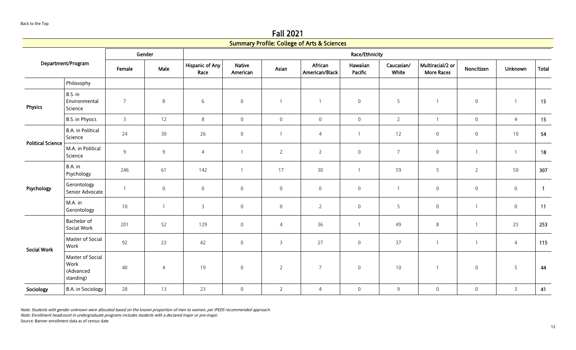Fall 2021 Summary Profile: College of Arts & Scie

|                                                    |                |                | Race/Ethnicity                 |                           |                  |                           |                            |                                             |                                       |                     |                     |                |
|----------------------------------------------------|----------------|----------------|--------------------------------|---------------------------|------------------|---------------------------|----------------------------|---------------------------------------------|---------------------------------------|---------------------|---------------------|----------------|
| Department/Program                                 | Female         | Male           | <b>Hispanic of Any</b><br>Race | <b>Native</b><br>American | Asian            | African<br>American/Black | Hawaiian<br><b>Pacific</b> | Caucasian/<br>White                         | Multiracial/2 or<br><b>More Races</b> | Noncitizen          | <b>Unknown</b>      | <b>Total</b>   |
| Philosophy                                         |                |                |                                |                           |                  |                           |                            |                                             |                                       |                     |                     |                |
| B.S. in<br>Environmental<br>Science                | $\overline{7}$ | 8              | 6                              | $\mathsf{O}\xspace$       |                  |                           | $\mathbf 0$                | 5                                           | $\overline{1}$                        | $\boldsymbol{0}$    | $\overline{1}$      | 15             |
| B.S. in Physics                                    | $\overline{3}$ | 12             | $\,8\,$                        | $\overline{0}$            | $\mathsf 0$      | $\overline{0}$            | $\mathbf 0$                | $\overline{2}$                              | $\overline{1}$                        | $\mathsf{O}\xspace$ | $\overline{4}$      | 15             |
| <b>B.A.</b> in Political<br>Science                | 24             | 30             | 26                             | $\mathsf{O}\xspace$       |                  | $\overline{4}$            | $\overline{1}$             | 12                                          | $\mathbf 0$                           | $\boldsymbol{0}$    | 10                  | 54             |
| M.A. in Political<br>Science                       | $\overline{9}$ | $\overline{9}$ | $\overline{4}$                 |                           | $\overline{2}$   | $\overline{2}$            | $\mathbf 0$                | $\overline{7}$                              | $\mathbf 0$                           |                     | $\overline{1}$      | 18             |
| B.A. in<br>Psychology                              | 246            | 61             | 142                            | $\overline{1}$            | 17               | 30                        | $\mathbf{1}$               | 59                                          | 5                                     | $\overline{2}$      | 50                  | 307            |
| Gerontology<br>Senior Advocate                     | $\mathbf{1}$   | $\mathbf 0$    | $\mathsf{O}\xspace$            | $\mathbf 0$               | $\boldsymbol{0}$ | $\overline{0}$            | $\boldsymbol{0}$           | $\mathbf{1}$                                | $\boldsymbol{0}$                      | $\overline{0}$      | $\boldsymbol{0}$    | $\overline{1}$ |
| M.A. in<br>Gerontology                             | 10             |                | $\overline{3}$                 | $\overline{0}$            | $\overline{0}$   | $\overline{2}$            | $\mathsf{O}\xspace$        | 5                                           | $\mathbf 0$                           |                     | $\mathsf{O}\xspace$ | 11             |
| Bachelor of<br>Social Work                         | 201            | 52             | 129                            | $\mathsf{O}\xspace$       | $\overline{4}$   | 36                        | $\overline{1}$             | 49                                          | $\,8\,$                               | $\overline{1}$      | 25                  | 253            |
| Master of Social<br>Work                           | 92             | 23             | 42                             | $\boldsymbol{0}$          | $\overline{3}$   | 27                        | $\boldsymbol{0}$           | 37                                          | $\overline{1}$                        | $\mathbf{1}$        | 4                   | 115            |
| Master of Social<br>Work<br>(Advanced<br>standing) | 40             | $\overline{4}$ | 19                             | $\mathsf{O}\xspace$       | $\overline{2}$   | $\overline{7}$            | $\mathbf 0$                | 10                                          | $\overline{1}$                        | $\mathbf 0$         | 5                   | 44             |
| B.A. in Sociology                                  | 28             | 13             | 23                             | $\mathsf{O}\xspace$       | $\overline{2}$   | $\overline{4}$            | $\mathbf 0$                | $9\,$                                       | $\mathbf 0$                           | $\mathsf{O}\xspace$ | $\mathbf{3}$        | 41             |
|                                                    |                |                | Gender                         |                           |                  |                           |                            | Summary Profile: College of Arts & Sciences |                                       |                     |                     |                |

Note: Enrollment headcount in undergraduate programs includes students with a declared major or pre-major.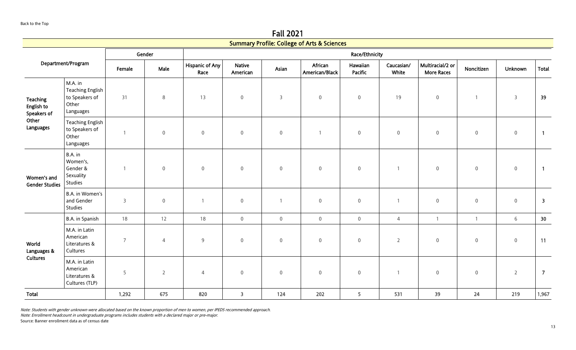|                                              |                                                                            |                |                |                                |                           |                     | <b>Summary Profile: College of Arts &amp; Sciences</b> |                            |                     |                                       |                     |                  |                         |
|----------------------------------------------|----------------------------------------------------------------------------|----------------|----------------|--------------------------------|---------------------------|---------------------|--------------------------------------------------------|----------------------------|---------------------|---------------------------------------|---------------------|------------------|-------------------------|
|                                              |                                                                            |                | Gender         |                                |                           |                     |                                                        | Race/Ethnicity             |                     |                                       |                     |                  |                         |
|                                              | Department/Program                                                         | Female         | Male           | <b>Hispanic of Any</b><br>Race | <b>Native</b><br>American | Asian               | African<br>American/Black                              | Hawaiian<br><b>Pacific</b> | Caucasian/<br>White | Multiracial/2 or<br><b>More Races</b> | Noncitizen          | Unknown          | Total                   |
| <b>Teaching</b><br>English to<br>Speakers of | M.A. in<br><b>Teaching English</b><br>to Speakers of<br>Other<br>Languages | 31             | $\,8\,$        | 13                             | $\mathsf{O}\xspace$       | $\mathsf{3}$        | $\mathbf 0$                                            | $\mathbb O$                | 19                  | $\mathsf{O}\xspace$                   |                     | $\overline{3}$   | 39                      |
| Other<br>Languages                           | <b>Teaching English</b><br>to Speakers of<br>Other<br>Languages            | $\mathbf{1}$   | $\mathbb O$    | $\mathsf{O}\xspace$            | $\mathsf{O}\xspace$       | $\boldsymbol{0}$    | $\overline{1}$                                         | $\mathbb O$                | $\mathsf 0$         | $\boldsymbol{0}$                      | $\boldsymbol{0}$    | $\boldsymbol{0}$ | $\overline{1}$          |
| Women's and<br><b>Gender Studies</b>         | B.A. in<br>Women's,<br>Gender &<br>Sexuality<br>Studies                    | $\mathbf{1}$   | $\,0\,$        | $\mathbf 0$                    | $\mathbb O$               | $\boldsymbol{0}$    | $\mathbf 0$                                            | $\mathbf 0$                |                     | $\mathsf{O}\xspace$                   | $\mathsf{O}\xspace$ | $\boldsymbol{0}$ | $\overline{1}$          |
|                                              | B.A. in Women's<br>and Gender<br>Studies                                   | 3              | $\,0\,$        | $\overline{1}$                 | $\mathsf{O}\xspace$       | $\mathbf{1}$        | $\mathbf 0$                                            | $\mathbb O$                | -1                  | $\mathsf{O}\xspace$                   | 0                   | $\mathsf 0$      | $\overline{\mathbf{3}}$ |
|                                              | B.A. in Spanish                                                            | 18             | 12             | 18                             | $\mathbf 0$               | $\mathsf{O}\xspace$ | $\mathbf 0$                                            | $\mathsf{O}\xspace$        | $\overline{4}$      | $\mathbf{1}$                          |                     | $6\phantom{a}$   | 30                      |
| World<br>Languages &                         | M.A. in Latin<br>American<br>Literatures &<br>Cultures                     | $\overline{7}$ | $\overline{4}$ | 9                              | $\overline{0}$            | $\overline{0}$      | $\mathbf 0$                                            | $\mathbf 0$                | $\overline{2}$      | $\overline{0}$                        | 0                   | $\mathbf 0$      | 11                      |
| <b>Cultures</b>                              | M.A. in Latin<br>American<br>Literatures &<br>Cultures (TLP)               | 5              | $\overline{2}$ | $\overline{4}$                 | $\boldsymbol{0}$          | $\boldsymbol{0}$    | $\boldsymbol{0}$                                       | $\mathbb O$                |                     | $\boldsymbol{0}$                      | $\boldsymbol{0}$    | $\overline{2}$   | $\overline{7}$          |
| <b>Total</b>                                 |                                                                            | 1,292          | 675            | 820                            | $\overline{\mathbf{3}}$   | 124                 | 202                                                    | 5                          | 531                 | 39                                    | 24                  | 219              | 1,967                   |

Note: Students with gender unknown were allocated based on the known proportion of men to women, per IPEDS recommended approach.

Note: Enrollment headcount in undergraduate programs includes students with a declared major or pre-major.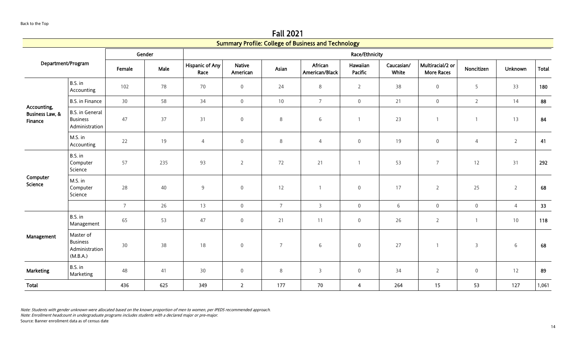Fall 2021

<span id="page-13-0"></span>

|                                                      |                                                             |                 |        |                                |                           |                | <b>Summary Profile: College of Business and Technology</b> |                         |                     |                                       |                     |                |              |
|------------------------------------------------------|-------------------------------------------------------------|-----------------|--------|--------------------------------|---------------------------|----------------|------------------------------------------------------------|-------------------------|---------------------|---------------------------------------|---------------------|----------------|--------------|
|                                                      |                                                             |                 | Gender |                                |                           |                |                                                            | <b>Race/Ethnicity</b>   |                     |                                       |                     |                |              |
| Department/Program                                   |                                                             | Female          | Male   | <b>Hispanic of Any</b><br>Race | <b>Native</b><br>American | Asian          | African<br>American/Black                                  | Hawaiian<br>Pacific     | Caucasian/<br>White | Multiracial/2 or<br><b>More Races</b> | Noncitizen          | Unknown        | <b>Total</b> |
|                                                      | B.S. in<br>Accounting                                       | 102             | 78     | 70                             | $\mathsf{O}\xspace$       | 24             | 8                                                          | $\overline{2}$          | 38                  | $\boldsymbol{0}$                      | 5                   | 33             | 180          |
|                                                      | <b>B.S. in Finance</b>                                      | 30              | 58     | 34                             | $\mathbf 0$               | 10             | $\overline{7}$                                             | $\mathsf{O}\xspace$     | 21                  | $\,0\,$                               | $\overline{2}$      | 14             | 88           |
| Accounting,<br><b>Business Law, &amp;</b><br>Finance | <b>B.S. in General</b><br><b>Business</b><br>Administration | 47              | 37     | 31                             | $\mathbf 0$               | 8              | 6                                                          |                         | 23                  | $\overline{1}$                        | $\overline{1}$      | 13             | 84           |
|                                                      | M.S. in<br>Accounting                                       | 22              | 19     | $\overline{4}$                 | $\mathbf 0$               | $\,8\,$        | $\overline{4}$                                             | $\mathsf{O}\xspace$     | 19                  | $\,0\,$                               | $\overline{4}$      | $\overline{2}$ | 41           |
|                                                      | B.S. in<br>Computer<br>Science                              | 57              | 235    | 93                             | $\overline{2}$            | 72             | 21                                                         | $\overline{1}$          | 53                  | $\overline{7}$                        | 12                  | 31             | 292          |
| Computer<br>Science                                  | M.S. in<br>Computer<br>Science                              | 28              | 40     | 9                              | $\mathbf 0$               | 12             |                                                            | $\mathbf 0$             | 17                  | $\overline{2}$                        | 25                  | $\overline{2}$ | 68           |
|                                                      |                                                             | $7\overline{ }$ | 26     | 13                             | $\mathbf 0$               | $\overline{7}$ | $\overline{3}$                                             | $\mathbf 0$             | 6                   | $\mathbf 0$                           | $\mathsf{O}\xspace$ | $\overline{4}$ | 33           |
|                                                      | B.S. in<br>Management                                       | 65              | 53     | 47                             | $\boldsymbol{0}$          | 21             | 11                                                         | $\boldsymbol{0}$        | 26                  | $\overline{2}$                        | $\overline{1}$      | $10$           | 118          |
| Management                                           | Master of<br><b>Business</b><br>Administration<br>(M.B.A.)  | 30              | 38     | 18                             | $\boldsymbol{0}$          | $\overline{7}$ | 6                                                          | $\boldsymbol{0}$        | 27                  | $\overline{1}$                        | 3                   | $\sqrt{6}$     | 68           |
| <b>Marketing</b>                                     | B.S. in<br>Marketing                                        | 48              | 41     | 30                             | $\mathsf{O}\xspace$       | $\,8\,$        | $\overline{3}$                                             | $\boldsymbol{0}$        | 34                  | $\overline{2}$                        | $\boldsymbol{0}$    | 12             | 89           |
| Total                                                |                                                             | 436             | 625    | 349                            | $\overline{2}$            | 177            | 70                                                         | $\overline{\mathbf{4}}$ | 264                 | 15                                    | 53                  | 127            | 1,061        |

Note: Enrollment headcount in undergraduate programs includes students with a declared major or pre-major.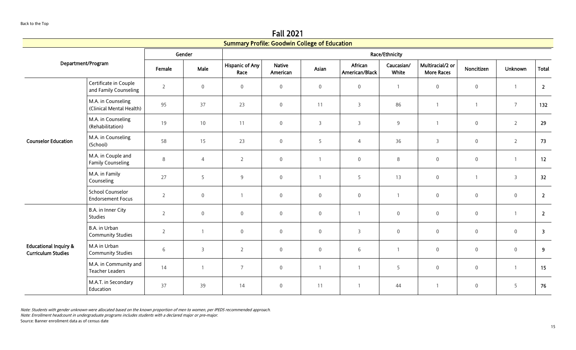Fall 2021

<span id="page-14-0"></span>

|                                                               |                                                     |                |                  | <b>Summary Profile: Goodwin College of Education</b> |                           |                  |                           |                     |                                       |                     |                  |                         |
|---------------------------------------------------------------|-----------------------------------------------------|----------------|------------------|------------------------------------------------------|---------------------------|------------------|---------------------------|---------------------|---------------------------------------|---------------------|------------------|-------------------------|
|                                                               |                                                     |                | Gender           |                                                      |                           |                  |                           | Race/Ethnicity      |                                       |                     |                  |                         |
|                                                               | Department/Program                                  | Female         | Male             | <b>Hispanic of Any</b><br>Race                       | <b>Native</b><br>American | Asian            | African<br>American/Black | Caucasian/<br>White | Multiracial/2 or<br><b>More Races</b> | Noncitizen          | Unknown          | Total                   |
|                                                               | Certificate in Couple<br>and Family Counseling      | $\overline{2}$ | $\boldsymbol{0}$ | $\boldsymbol{0}$                                     | $\mathsf 0$               | $\boldsymbol{0}$ | $\boldsymbol{0}$          | $\mathbf{1}$        | $\boldsymbol{0}$                      | $\,0\,$             | $\overline{1}$   | $\overline{2}$          |
|                                                               | M.A. in Counseling<br>(Clinical Mental Health)      | 95             | 37               | 23                                                   | $\mathsf{O}\xspace$       | 11               | $\mathsf{3}$              | 86                  | $\mathbf{1}$                          | $\mathbf{1}$        | $\overline{7}$   | 132                     |
| <b>Counselor Education</b>                                    | M.A. in Counseling<br>(Rehabilitation)              | 19             | 10               | 11                                                   | $\mathsf{O}\xspace$       | $\overline{3}$   | $\overline{3}$            | 9                   | $\overline{1}$                        | $\mathsf{O}\xspace$ | $\overline{2}$   | 29                      |
|                                                               | M.A. in Counseling<br>(School)                      | 58             | 15               | 23                                                   | $\mathbf 0$               | 5                | $\overline{4}$            | 36                  | 3                                     | $\boldsymbol{0}$    | $\overline{2}$   | 73                      |
|                                                               | M.A. in Couple and<br><b>Family Counseling</b>      | 8              | $\overline{4}$   | $\overline{2}$                                       | $\mathsf 0$               | $\mathbf{1}$     | $\boldsymbol{0}$          | 8                   | $\boldsymbol{0}$                      | $\boldsymbol{0}$    | $\overline{1}$   | 12                      |
|                                                               | M.A. in Family<br>Counseling                        | 27             | 5                | 9                                                    | $\mathsf{O}\xspace$       | $\mathbf{1}$     | 5                         | 13                  | $\mathbf 0$                           | $\mathbf{1}$        | $\overline{3}$   | 32                      |
|                                                               | <b>School Counselor</b><br><b>Endorsement Focus</b> | $\overline{2}$ | $\mathbf 0$      |                                                      | $\mathsf 0$               | $\mathbf 0$      | $\mathbf 0$               | 1                   | $\boldsymbol{0}$                      | $\mathbf 0$         | $\boldsymbol{0}$ | $\overline{2}$          |
|                                                               | B.A. in Inner City<br>Studies                       | $\overline{2}$ | $\mathbf 0$      | $\mathsf{O}\xspace$                                  | $\mathsf 0$               | $\overline{0}$   | $\mathbf{1}$              | 0                   | $\mathsf 0$                           | $\mathbf 0$         | $\mathbf{1}$     | $\overline{2}$          |
|                                                               | B.A. in Urban<br><b>Community Studies</b>           | $\overline{2}$ |                  | $\mathbf 0$                                          | $\mathsf{O}\xspace$       | $\mathbf 0$      | $\mathsf{3}$              | $\overline{0}$      | $\mathbf 0$                           | $\mathbf 0$         | $\boldsymbol{0}$ | $\overline{\mathbf{3}}$ |
| <b>Educational Inquiry &amp;</b><br><b>Curriculum Studies</b> | M.A in Urban<br><b>Community Studies</b>            | $\,6\,$        | $\overline{3}$   | $\overline{2}$                                       | $\mathsf{O}\xspace$       | $\mathbf 0$      | 6                         | $\mathbf{1}$        | $\mathsf 0$                           | $\mathsf{O}\xspace$ | $\mathbf 0$      | 9                       |
|                                                               | M.A. in Community and<br><b>Teacher Leaders</b>     | 14             | $\overline{1}$   | $\overline{7}$                                       | $\mathsf 0$               | $\mathbf{1}$     |                           | 5                   | $\mathsf{O}\xspace$                   | $\mathbf 0$         | $\mathbf{1}$     | 15                      |
|                                                               | M.A.T. in Secondary<br>Education                    | 37             | 39               | 14                                                   | $\boldsymbol{0}$          | 11               | $\mathbf{1}$              | 44                  | $\mathbf{1}$                          | $\,0\,$             | 5                | 76                      |

Note: Enrollment headcount in undergraduate programs includes students with a declared major or pre-major.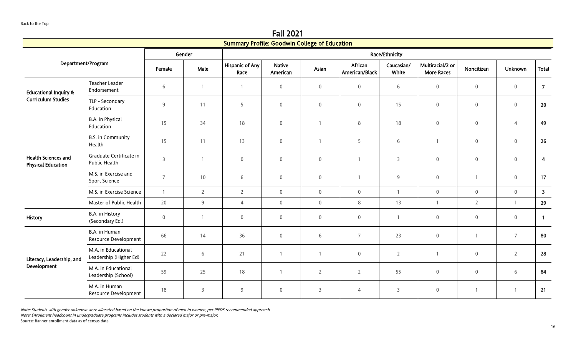Fall 2021 Summary Profile: Goodwin College of Education

|                                                         |                                               |                |                | Summary Profile: Goodwin College of Education |                           |                |                           |                     |                                       |                     |                |                         |
|---------------------------------------------------------|-----------------------------------------------|----------------|----------------|-----------------------------------------------|---------------------------|----------------|---------------------------|---------------------|---------------------------------------|---------------------|----------------|-------------------------|
|                                                         |                                               |                | Gender         |                                               |                           |                |                           | Race/Ethnicity      |                                       |                     |                |                         |
|                                                         | Department/Program                            | Female         | Male           | <b>Hispanic of Any</b><br>Race                | <b>Native</b><br>American | Asian          | African<br>American/Black | Caucasian/<br>White | Multiracial/2 or<br><b>More Races</b> | Noncitizen          | <b>Unknown</b> | Total                   |
| <b>Educational Inquiry &amp;</b>                        | <b>Teacher Leader</b><br>Endorsement          | 6              |                |                                               | $\mathbf 0$               | $\overline{0}$ | $\mathsf{O}\xspace$       | $6\,$               | $\mathbf 0$                           | $\mathsf{O}\xspace$ | $\mathbb O$    | $\overline{7}$          |
| <b>Curriculum Studies</b>                               | TLP - Secondary<br>Education                  | 9              | 11             | 5                                             | $\boldsymbol{0}$          | $\overline{0}$ | $\mathsf{O}\xspace$       | 15                  | $\mathbf 0$                           | $\boldsymbol{0}$    | $\mathbb O$    | 20                      |
|                                                         | B.A. in Physical<br>Education                 | 15             | 34             | 18                                            | $\boldsymbol{0}$          |                | $\,8\,$                   | 18                  | $\boldsymbol{0}$                      | $\boldsymbol{0}$    | $\sqrt{4}$     | 49                      |
|                                                         | <b>B.S. in Community</b><br>Health            | 15             | 11             | 13                                            | $\mathbf 0$               |                | 5                         | $\,$ 6 $\,$         | $\overline{1}$                        | $\mathbf 0$         | $\mathbf 0$    | 26                      |
| <b>Health Sciences and</b><br><b>Physical Education</b> | Graduate Certificate in<br>Public Health      | $\overline{3}$ | $\overline{1}$ | $\mathbf 0$                                   | $\mathsf 0$               | $\overline{0}$ | $\overline{1}$            | $\mathsf{3}$        | $\mathbf 0$                           | $\mathsf{O}\xspace$ | $\mathbf 0$    | $\overline{4}$          |
|                                                         | M.S. in Exercise and<br>Sport Science         | $\overline{7}$ | 10             | 6                                             | $\overline{0}$            | $\overline{0}$ | $\overline{1}$            | $9$                 | $\mathbf 0$                           | $\mathbf{1}$        | $\mathbf 0$    | 17                      |
|                                                         | M.S. in Exercise Science                      | $\overline{1}$ | $\overline{2}$ | $\overline{2}$                                | $\mathbf 0$               | $\overline{0}$ | $\mathsf 0$               | $\mathbf{1}$        | $\mathbf 0$                           | $\mathsf{O}\xspace$ | $\overline{0}$ | $\overline{\mathbf{3}}$ |
|                                                         | Master of Public Health                       | 20             | 9              | $\overline{4}$                                | $\mathbf 0$               | $\overline{0}$ | 8                         | 13                  | $\overline{1}$                        | $\overline{2}$      | $\overline{1}$ | 29                      |
| History                                                 | B.A. in History<br>(Secondary Ed.)            | $\mathbf{0}$   |                | $\mathbf 0$                                   | $\mathbf 0$               | $\mathbf 0$    | $\mathbf 0$               | $\mathbf{1}$        | $\overline{0}$                        | $\mathbf 0$         | $\mathbb O$    | $\overline{1}$          |
|                                                         | B.A. in Human<br>Resource Development         | 66             | 14             | 36                                            | $\mathbf 0$               | 6              | $\overline{7}$            | 23                  | $\mathbf 0$                           | $\mathbf{1}$        | $\overline{7}$ | 80                      |
| Literacy, Leadership, and                               | M.A. in Educational<br>Leadership (Higher Ed) | 22             | 6              | 21                                            | $\mathbf{1}$              | 1              | $\mathsf 0$               | $\overline{2}$      | $\overline{1}$                        | $\boldsymbol{0}$    | $\overline{2}$ | 28                      |
| Development                                             | M.A. in Educational<br>Leadership (School)    | 59             | 25             | 18                                            | $\mathbf{1}$              | $\overline{2}$ | $\overline{2}$            | 55                  | $\boldsymbol{0}$                      | $\mathsf 0$         | 6              | 84                      |
|                                                         | M.A. in Human<br>Resource Development         | 18             | 3              | 9                                             | $\overline{0}$            | $\mathsf{3}$   | 4                         | 3                   | $\mathbf 0$                           | $\mathbf{1}$        | $\overline{1}$ | 21                      |

Note: Enrollment headcount in undergraduate programs includes students with a declared major or pre-major.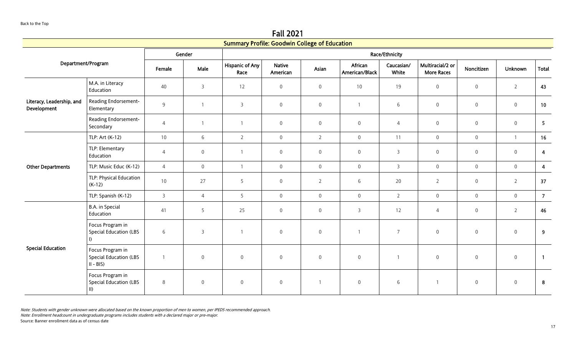Fall 2021

|                                          |                                                                   |                 |                     | <b>Summary Profile: Goodwin College of Education</b> |                           |                     |                           |                     |                                       |                     |                     |                         |
|------------------------------------------|-------------------------------------------------------------------|-----------------|---------------------|------------------------------------------------------|---------------------------|---------------------|---------------------------|---------------------|---------------------------------------|---------------------|---------------------|-------------------------|
|                                          |                                                                   |                 | Gender              |                                                      |                           |                     |                           | Race/Ethnicity      |                                       |                     |                     |                         |
| Department/Program                       |                                                                   | Female          | Male                | <b>Hispanic of Any</b><br>Race                       | <b>Native</b><br>American | Asian               | African<br>American/Black | Caucasian/<br>White | Multiracial/2 or<br><b>More Races</b> | Noncitizen          | Unknown             | <b>Total</b>            |
|                                          | M.A. in Literacy<br>Education                                     | 40              | $\mathsf{3}$        | 12                                                   | $\mathbf 0$               | $\mathsf 0$         | 10                        | 19                  | $\mathbf 0$                           | $\mathsf{O}\xspace$ | $\overline{2}$      | 43                      |
| Literacy, Leadership, and<br>Development | Reading Endorsement-<br>Elementary                                | $\overline{9}$  | $\mathbf{1}$        | 3                                                    | $\mathsf{O}\xspace$       | $\mathbf 0$         | $\mathbf{1}$              | 6                   | $\mathsf{O}\xspace$                   | $\mathbf 0$         | $\mathbf 0$         | 10                      |
|                                          | Reading Endorsement-<br>Secondary                                 | $\overline{4}$  | $\mathbf{1}$        | $\overline{1}$                                       | $\mathbf 0$               | $\mathbf 0$         | $\boldsymbol{0}$          | $\overline{4}$      | $\boldsymbol{0}$                      | $\boldsymbol{0}$    | $\boldsymbol{0}$    | 5                       |
|                                          | TLP: Art (K-12)                                                   | 10              | 6                   | $\overline{2}$                                       | $\mathsf{O}\xspace$       | $\overline{2}$      | $\mathbf 0$               | 11                  | $\mathsf{O}\xspace$                   | $\mathbf 0$         | $\overline{1}$      | 16                      |
|                                          | TLP: Elementary<br>Education                                      | $\overline{4}$  | $\mathbf 0$         | $\overline{1}$                                       | $\overline{0}$            | $\mathbf 0$         | $\mathbf 0$               | 3                   | $\mathbf 0$                           | $\mathbf 0$         | $\overline{0}$      | 4                       |
| <b>Other Departments</b>                 | TLP: Music Educ (K-12)                                            | $\overline{4}$  | $\boldsymbol{0}$    | $\overline{1}$                                       | $\mathbf 0$               | $\mathsf{O}\xspace$ | $\mathbf 0$               | $\mathsf{3}$        | $\mathbf 0$                           | $\mathsf{O}\xspace$ | $\mathsf{O}\xspace$ | $\overline{\mathbf{4}}$ |
|                                          | TLP: Physical Education<br>$(K-12)$                               | 10 <sup>°</sup> | 27                  | 5                                                    | $\mathbf 0$               | $\overline{2}$      | 6                         | 20                  | $\overline{2}$                        | $\mathbf 0$         | $\overline{2}$      | 37                      |
|                                          | TLP: Spanish (K-12)                                               | $\overline{3}$  | $\overline{4}$      | 5 <sup>5</sup>                                       | $\mathbf 0$               | $\mathsf{O}\xspace$ | $\mathbf 0$               | $\overline{2}$      | $\boldsymbol{0}$                      | $\mathsf{O}\xspace$ | $\mathbf 0$         | $\overline{7}$          |
|                                          | B.A. in Special<br>Education                                      | 41              | 5                   | 25                                                   | $\mathbf 0$               | $\mathbf 0$         | 3                         | 12                  | $\overline{4}$                        | $\mathsf{O}\xspace$ | $\overline{2}$      | 46                      |
| <b>Special Education</b>                 | Focus Program in<br><b>Special Education (LBS</b><br>$\mathbf{D}$ | 6               | 3                   |                                                      | $\boldsymbol{0}$          | $\boldsymbol{0}$    | $\overline{1}$            | $\overline{7}$      | $\boldsymbol{0}$                      | $\,0\,$             | $\mathbb O$         | 9                       |
|                                          | Focus Program in<br><b>Special Education (LBS</b><br>$II - BIS$   | $\mathbf{1}$    | $\boldsymbol{0}$    | $\boldsymbol{0}$                                     | $\boldsymbol{0}$          | $\boldsymbol{0}$    | $\mathsf{O}\xspace$       | $\mathbf{1}$        | $\boldsymbol{0}$                      | $\,0\,$             | $\mathbf 0$         | $\overline{1}$          |
|                                          | Focus Program in<br><b>Special Education (LBS</b><br>$\parallel$  | 8               | $\mathsf{O}\xspace$ | $\mathsf{O}\xspace$                                  | $\boldsymbol{0}$          |                     | $\mathbf 0$               | 6                   | $\mathbf{1}$                          | $\mathsf{O}\xspace$ | $\boldsymbol{0}$    | 8                       |

Note: Enrollment headcount in undergraduate programs includes students with a declared major or pre-major.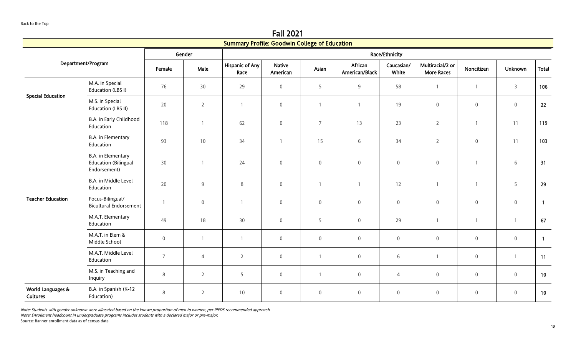Fall 2021

|                                      |                                                                   |                |                | <b>Summary Profile: Goodwin College of Education</b> |                           |                |                           |                     |                                       |                     |                |                |
|--------------------------------------|-------------------------------------------------------------------|----------------|----------------|------------------------------------------------------|---------------------------|----------------|---------------------------|---------------------|---------------------------------------|---------------------|----------------|----------------|
|                                      |                                                                   |                | Gender         |                                                      |                           |                |                           | Race/Ethnicity      |                                       |                     |                |                |
|                                      | Department/Program                                                | Female         | Male           | <b>Hispanic of Any</b><br>Race                       | <b>Native</b><br>American | Asian          | African<br>American/Black | Caucasian/<br>White | Multiracial/2 or<br><b>More Races</b> | Noncitizen          | <b>Unknown</b> | Total          |
| <b>Special Education</b>             | M.A. in Special<br>Education (LBS I)                              | 76             | 30             | 29                                                   | $\mathbf 0$               | 5              | 9                         | 58                  | $\mathbf{1}$                          | $\overline{1}$      | $\overline{3}$ | 106            |
|                                      | M.S. in Special<br>Education (LBS II)                             | 20             | $2^{\circ}$    | $\overline{1}$                                       | $\mathbf 0$               | $\overline{1}$ | $\overline{1}$            | 19                  | $\mathsf{O}\xspace$                   | $\mathbf 0$         | $\mathbf 0$    | 22             |
|                                      | B.A. in Early Childhood<br>Education                              | 118            | $\mathbf{1}$   | 62                                                   | $\mathsf{O}\xspace$       | $\overline{7}$ | 13                        | 23                  | $\overline{2}$                        | $\mathbf{1}$        | 11             | 119            |
|                                      | B.A. in Elementary<br>Education                                   | 93             | 10             | 34                                                   | 1                         | 15             | 6                         | 34                  | $\overline{2}$                        | $\boldsymbol{0}$    | 11             | 103            |
|                                      | B.A. in Elementary<br><b>Education (Bilingual</b><br>Endorsement) | 30             | $\overline{1}$ | 24                                                   | $\mathsf{O}\xspace$       | $\mathbf 0$    | $\mathsf{O}\xspace$       | $\overline{0}$      | $\mathbf 0$                           | $\mathbf{1}$        | $\sqrt{6}$     | 31             |
|                                      | B.A. in Middle Level<br>Education                                 | 20             | 9              | 8                                                    | $\mathbf 0$               |                | $\overline{1}$            | 12                  | $\mathbf{1}$                          | $\mathbf{1}$        | 5              | 29             |
| <b>Teacher Education</b>             | Focus-Bilingual/<br><b>Bicultural Endorsement</b>                 | $\overline{1}$ | $\mathbf 0$    | $\overline{1}$                                       | $\mathbf 0$               | $\mathbf 0$    | $\mathbf 0$               | $\overline{0}$      | $\mathsf{O}\xspace$                   | $\mathbf 0$         | $\overline{0}$ | $\overline{1}$ |
|                                      | M.A.T. Elementary<br>Education                                    | 49             | 18             | 30                                                   | $\mathsf{O}\xspace$       | 5              | $\mathsf{O}\xspace$       | 29                  | $\mathbf{1}$                          | $\mathbf{1}$        | $\overline{1}$ | 67             |
|                                      | M.A.T. in Elem &<br>Middle School                                 | $\mathbf 0$    | $\mathbf{1}$   | $\overline{1}$                                       | $\mathbf 0$               | $\mathbf 0$    | $\boldsymbol{0}$          | $\mathbf 0$         | $\mathsf{O}\xspace$                   | $\boldsymbol{0}$    | $\mathbf 0$    | $\overline{1}$ |
|                                      | M.A.T. Middle Level<br>Education                                  | $\overline{7}$ | $\overline{4}$ | $\overline{2}$                                       | $\mathsf{O}\xspace$       | $\overline{1}$ | $\mathbf 0$               | 6                   | $\mathbf{1}$                          | $\mathsf{O}\xspace$ | $\overline{1}$ | 11             |
|                                      | M.S. in Teaching and<br>Inquiry                                   | 8              | $\overline{2}$ | 5                                                    | $\mathsf{O}\xspace$       |                | $\mathsf{O}\xspace$       | $\overline{4}$      | $\mathbf 0$                           | $\mathsf{O}\xspace$ | $\mathbf 0$    | 10             |
| World Languages &<br><b>Cultures</b> | B.A. in Spanish (K-12<br>Education)                               | 8              | $\overline{2}$ | 10                                                   | $\overline{0}$            | $\mathbf 0$    | $\mathbf 0$               | $\mathbf 0$         | $\mathsf{O}\xspace$                   | $\mathbf 0$         | $\mathbb O$    | 10             |

Note: Enrollment headcount in undergraduate programs includes students with a declared major or pre-major.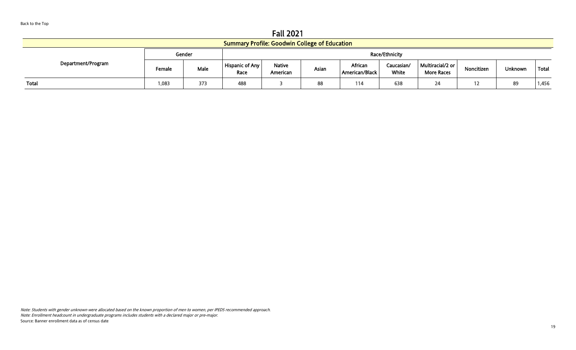Fall 2021

|                                                      | .      |        |                                |                           |       |                           |                     |                                         |            |                |       |  |
|------------------------------------------------------|--------|--------|--------------------------------|---------------------------|-------|---------------------------|---------------------|-----------------------------------------|------------|----------------|-------|--|
| <b>Summary Profile: Goodwin College of Education</b> |        |        |                                |                           |       |                           |                     |                                         |            |                |       |  |
|                                                      |        | Gender | Race/Ethnicity                 |                           |       |                           |                     |                                         |            |                |       |  |
| Department/Program                                   | Female | Male   | <b>Hispanic of Any</b><br>Race | <b>Native</b><br>American | Asian | African<br>American/Black | Caucasian/<br>White | Multiracial/2 or  <br><b>More Races</b> | Noncitizen | <b>Unknown</b> | Total |  |
| Total                                                | 1,083  | 373    | 488                            |                           | 88    | 114                       | 638                 | 24                                      | 12         | 89             | 1,456 |  |

Note: Students with gender unknown were allocated based on the known proportion of men to women, per IPEDS recommended approach. Note: Enrollment headcount in undergraduate programs includes students with a declared major or pre-major. Source: Banner enrollment data as of census date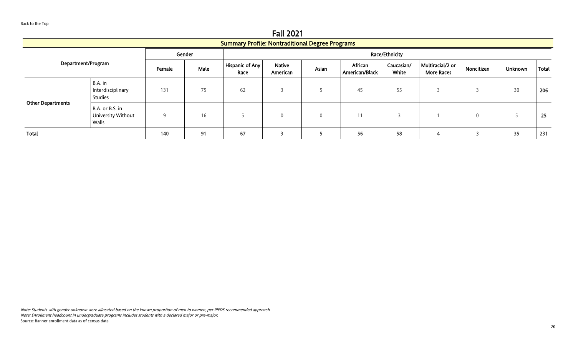<span id="page-19-0"></span>Fall 2021 Summary Profile: Nontraditional Degree Programs Department/Program Gender **Race/Ethnicity** Female Male Hispanic of Any Race Native American Asian African American/Black Caucasian/ White Multiracial/2 or Multiraciauz or | Noncitizen | Unknown | Total | Other Departments B.A. in Interdisciplinary Studies 131 | 75 | 62 | 3 | 5 | 45 | 55 | 3 | 3 | 30 | 206 B.A. or B.S. in University Without Walls 9 | 16 | 5 | 0 | 0 | 11 | 3 | 1 | 0 | 5 | 25 Total 140 91 67 3 5 56 58 4 3 35 231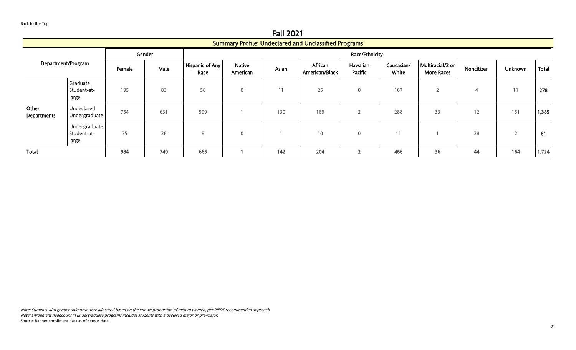Fall 2021

<span id="page-20-0"></span>

|                      |                                       |        |        |                         |                           |       | <b>Summary Profile: Undeclared and Unclassified Programs</b> |                            |                     |                                       |            |                |              |
|----------------------|---------------------------------------|--------|--------|-------------------------|---------------------------|-------|--------------------------------------------------------------|----------------------------|---------------------|---------------------------------------|------------|----------------|--------------|
|                      |                                       |        | Gender |                         | Race/Ethnicity            |       |                                                              |                            |                     |                                       |            |                |              |
| Department/Program   |                                       | Female | Male   | Hispanic of Any<br>Race | <b>Native</b><br>American | Asian | African<br>American/Black                                    | Hawaiian<br><b>Pacific</b> | Caucasian/<br>White | Multiracial/2 or<br><b>More Races</b> | Noncitizen | <b>Unknown</b> | <b>Total</b> |
| Other<br>Departments | Graduate<br>Student-at-<br>large      | 195    | 83     | 58                      | $\Omega$                  | 11    | 25                                                           | $\mathbf 0$                | 167                 |                                       | 4          | 11             | 278          |
|                      | Undeclared<br>Undergraduate           | 754    | 631    | 599                     |                           | 130   | 169                                                          | h<br>∠                     | 288                 | 33                                    | 12         | 151            | 1,385        |
|                      | Undergraduate<br>Student-at-<br>large | 35     | 26     | 8                       | $\mathbf{0}$              |       | 10                                                           | 0                          | 11                  |                                       | 28         |                | 61           |
| Total                |                                       | 984    | 740    | 665                     |                           | 142   | 204                                                          | $\overline{2}$             | 466                 | 36                                    | 44         | 164            | 1,724        |

Note: Students with gender unknown were allocated based on the known proportion of men to women, per IPEDS recommended approach. Note: Enrollment headcount in undergraduate programs includes students with a declared major or pre-major. Source: Banner enrollment data as of census date